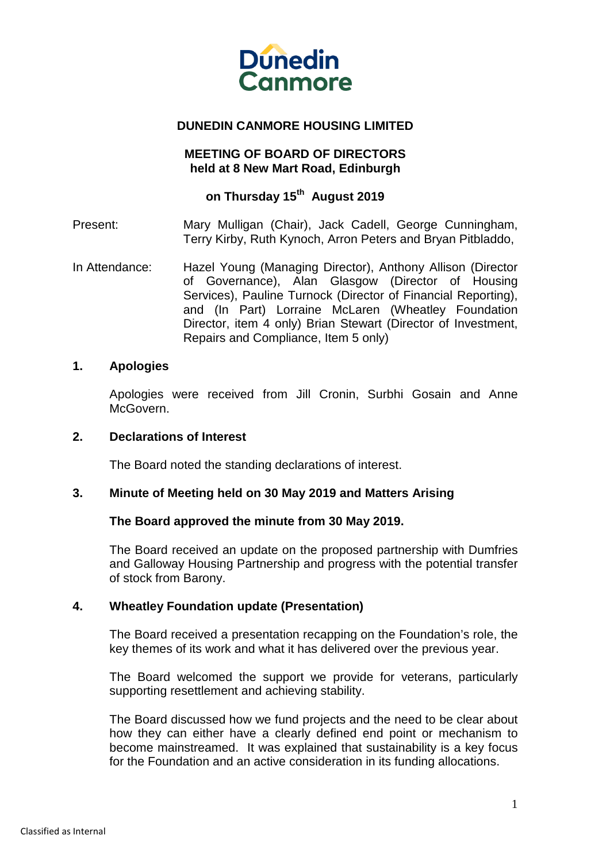

# **DUNEDIN CANMORE HOUSING LIMITED**

# **MEETING OF BOARD OF DIRECTORS held at 8 New Mart Road, Edinburgh**

# **on Thursday 15th August 2019**

Present: Mary Mulligan (Chair), Jack Cadell, George Cunningham, Terry Kirby, Ruth Kynoch, Arron Peters and Bryan Pitbladdo,

In Attendance: Hazel Young (Managing Director), Anthony Allison (Director of Governance), Alan Glasgow (Director of Housing Services), Pauline Turnock (Director of Financial Reporting), and (In Part) Lorraine McLaren (Wheatley Foundation Director, item 4 only) Brian Stewart (Director of Investment, Repairs and Compliance, Item 5 only)

## **1. Apologies**

Apologies were received from Jill Cronin, Surbhi Gosain and Anne McGovern.

# **2. Declarations of Interest**

The Board noted the standing declarations of interest.

## **3. Minute of Meeting held on 30 May 2019 and Matters Arising**

## **The Board approved the minute from 30 May 2019.**

The Board received an update on the proposed partnership with Dumfries and Galloway Housing Partnership and progress with the potential transfer of stock from Barony.

## **4. Wheatley Foundation update (Presentation)**

The Board received a presentation recapping on the Foundation's role, the key themes of its work and what it has delivered over the previous year.

The Board welcomed the support we provide for veterans, particularly supporting resettlement and achieving stability.

The Board discussed how we fund projects and the need to be clear about how they can either have a clearly defined end point or mechanism to become mainstreamed. It was explained that sustainability is a key focus for the Foundation and an active consideration in its funding allocations.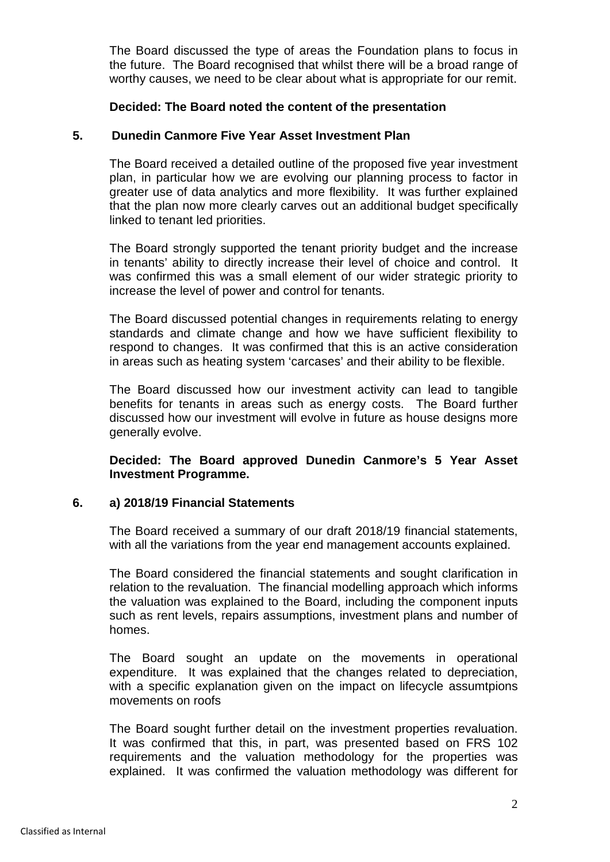The Board discussed the type of areas the Foundation plans to focus in the future. The Board recognised that whilst there will be a broad range of worthy causes, we need to be clear about what is appropriate for our remit.

## **Decided: The Board noted the content of the presentation**

# **5. Dunedin Canmore Five Year Asset Investment Plan**

The Board received a detailed outline of the proposed five year investment plan, in particular how we are evolving our planning process to factor in greater use of data analytics and more flexibility. It was further explained that the plan now more clearly carves out an additional budget specifically linked to tenant led priorities.

The Board strongly supported the tenant priority budget and the increase in tenants' ability to directly increase their level of choice and control. It was confirmed this was a small element of our wider strategic priority to increase the level of power and control for tenants.

The Board discussed potential changes in requirements relating to energy standards and climate change and how we have sufficient flexibility to respond to changes. It was confirmed that this is an active consideration in areas such as heating system 'carcases' and their ability to be flexible.

The Board discussed how our investment activity can lead to tangible benefits for tenants in areas such as energy costs. The Board further discussed how our investment will evolve in future as house designs more generally evolve.

**Decided: The Board approved Dunedin Canmore's 5 Year Asset Investment Programme.**

## **6. a) 2018/19 Financial Statements**

The Board received a summary of our draft 2018/19 financial statements, with all the variations from the year end management accounts explained.

The Board considered the financial statements and sought clarification in relation to the revaluation. The financial modelling approach which informs the valuation was explained to the Board, including the component inputs such as rent levels, repairs assumptions, investment plans and number of homes.

The Board sought an update on the movements in operational expenditure. It was explained that the changes related to depreciation, with a specific explanation given on the impact on lifecycle assumtpions movements on roofs

The Board sought further detail on the investment properties revaluation. It was confirmed that this, in part, was presented based on FRS 102 requirements and the valuation methodology for the properties was explained. It was confirmed the valuation methodology was different for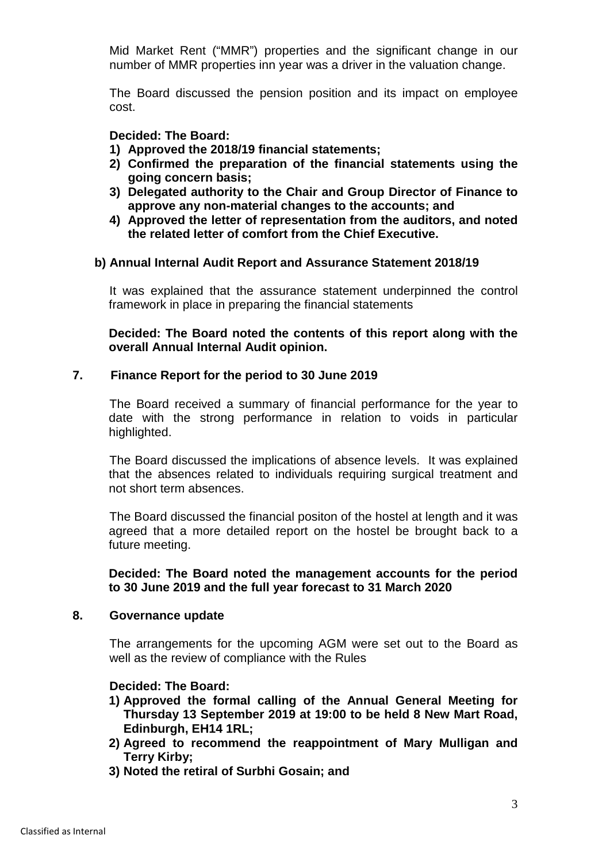Mid Market Rent ("MMR") properties and the significant change in our number of MMR properties inn year was a driver in the valuation change.

The Board discussed the pension position and its impact on employee cost.

# **Decided: The Board:**

- **1) Approved the 2018/19 financial statements;**
- **2) Confirmed the preparation of the financial statements using the going concern basis;**
- **3) Delegated authority to the Chair and Group Director of Finance to approve any non-material changes to the accounts; and**
- **4) Approved the letter of representation from the auditors, and noted the related letter of comfort from the Chief Executive.**

## **b) Annual Internal Audit Report and Assurance Statement 2018/19**

It was explained that the assurance statement underpinned the control framework in place in preparing the financial statements

**Decided: The Board noted the contents of this report along with the overall Annual Internal Audit opinion.**

# **7. Finance Report for the period to 30 June 2019**

The Board received a summary of financial performance for the year to date with the strong performance in relation to voids in particular highlighted.

The Board discussed the implications of absence levels. It was explained that the absences related to individuals requiring surgical treatment and not short term absences.

The Board discussed the financial positon of the hostel at length and it was agreed that a more detailed report on the hostel be brought back to a future meeting.

**Decided: The Board noted the management accounts for the period to 30 June 2019 and the full year forecast to 31 March 2020**

## **8. Governance update**

The arrangements for the upcoming AGM were set out to the Board as well as the review of compliance with the Rules

## **Decided: The Board:**

- **1) Approved the formal calling of the Annual General Meeting for Thursday 13 September 2019 at 19:00 to be held 8 New Mart Road, Edinburgh, EH14 1RL;**
- **2) Agreed to recommend the reappointment of Mary Mulligan and Terry Kirby;**
- **3) Noted the retiral of Surbhi Gosain; and**